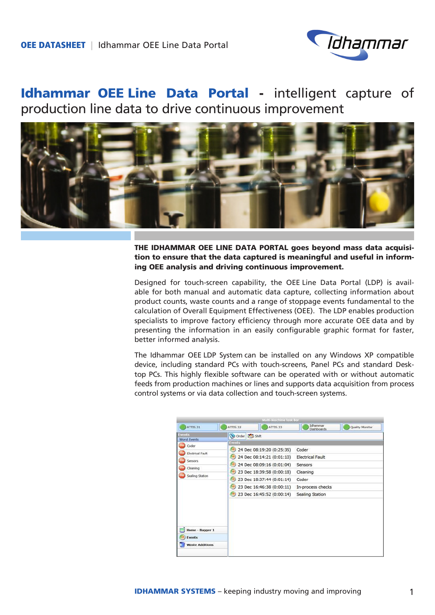

# Idhammar OEE Line Data Portal - intelligent capture of production line data to drive continuous improvement



THE IDHAMMAR OEE LINE DATA PORTAL goes beyond mass data acquisition to ensure that the data captured is meaningful and useful in informing OEE analysis and driving continuous improvement.

Designed for touch-screen capability, the OEE Line Data Portal (LDP) is available for both manual and automatic data capture, collecting information about product counts, waste counts and a range of stoppage events fundamental to the calculation of Overall Equipment Effectiveness (OEE). The LDP enables production specialists to improve factory efficiency through more accurate OEE data and by presenting the information in an easily configurable graphic format for faster, better informed analysis.

The Idhammar OEE LDP System can be installed on any Windows XP compatible device, including standard PCs with touch-screens, Panel PCs and standard Desktop PCs. This highly flexible software can be operated with or without automatic feeds from production machines or lines and supports data acquisition from process control systems or via data collection and touch-screen systems.

| Mutti-Machine Task bar                                                                                                                          |                                                   |                                                                                                                                                                                                         |                                                                                                          |                 |
|-------------------------------------------------------------------------------------------------------------------------------------------------|---------------------------------------------------|---------------------------------------------------------------------------------------------------------------------------------------------------------------------------------------------------------|----------------------------------------------------------------------------------------------------------|-----------------|
| <b>ATTIS.31</b>                                                                                                                                 | ATTIS.32                                          | ATTIS.33                                                                                                                                                                                                | Idhammar<br><b>Dashboards</b>                                                                            | Quality Monitor |
| Events<br><b>Worst Events</b>                                                                                                                   | Order & Shift                                     |                                                                                                                                                                                                         |                                                                                                          |                 |
| Coder<br><b>Electrical Fault</b><br><b>Sensors</b><br>Cleaning<br>Sealing Station<br>Home - Bagger 1<br><b>Events</b><br><b>Waste Additions</b> | Events<br>- 1<br>ు)<br><b>Bar</b><br>89)<br>(199) | 24 Dec 08:19:20 (0:25:35)<br>24 Dec 08:14:21 (0:01:10)<br>24 Dec 08:09:16 (0:01:04)<br>23 Dec 18:39:58 (0:00:18)<br>23 Dec 18:37:44 (0:01:14)<br>23 Dec 16:46:38 (0:00:11)<br>23 Dec 16:45:52 (0:00:14) | Coder<br><b>Electrical Fault</b><br>Sensors<br>Cleaning<br>Coder<br>In-process checks<br>Sealing Station |                 |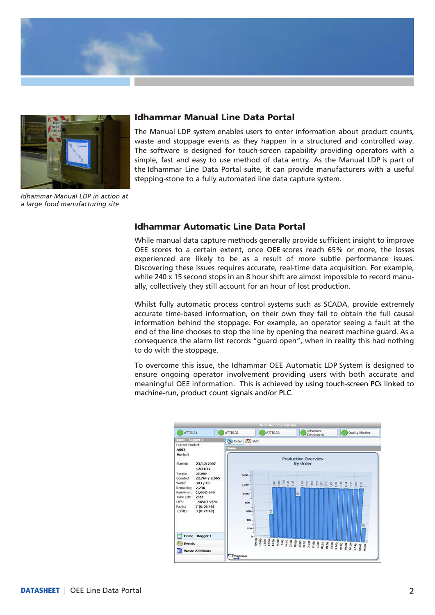

![](_page_1_Picture_1.jpeg)

### Idhammar Manual Line Data Portal

The Manual LDP system enables users to enter information about product counts, waste and stoppage events as they happen in a structured and controlled way. The software is designed for touch-screen capability providing operators with a simple, fast and easy to use method of data entry. As the Manual LDP is part of the Idhammar Line Data Portal suite, it can provide manufacturers with a useful stepping-stone to a fully automated line data capture system.

*Idhammar Manual LDP in action at a large food manufacturing site*

### Idhammar Automatic Line Data Portal

While manual data capture methods generally provide sufficient insight to improve OEE scores to a certain extent, once OEE scores reach 65% or more, the losses experienced are likely to be as a result of more subtle performance issues. Discovering these issues requires accurate, real-time data acquisition. For example, while 240 x 15 second stops in an 8 hour shift are almost impossible to record manually, collectively they still account for an hour of lost production.

Whilst fully automatic process control systems such as SCADA, provide extremely accurate time-based information, on their own they fail to obtain the full causal information behind the stoppage. For example, an operator seeing a fault at the end of the line chooses to stop the line by opening the nearest machine guard. As a consequence the alarm list records "guard open", when in reality this had nothing to do with the stoppage.

To overcome this issue, the Idhammar OEE Automatic LDP System is designed to ensure ongoing operator involvement providing users with both accurate and meaningful OEE information. This is achieved by using touch-screen PCs linked to machine-run, product count signals and/or PLC.

![](_page_1_Figure_9.jpeg)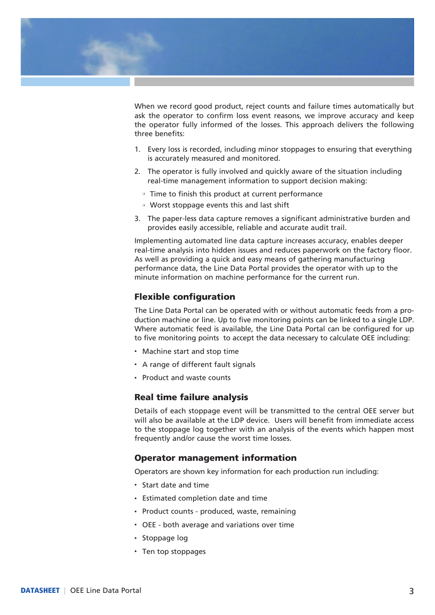![](_page_2_Picture_0.jpeg)

When we record good product, reject counts and failure times automatically but ask the operator to confirm loss event reasons, we improve accuracy and keep the operator fully informed of the losses. This approach delivers the following three benefits:

- 1. Every loss is recorded, including minor stoppages to ensuring that everything is accurately measured and monitored.
- 2. The operator is fully involved and quickly aware of the situation including real-time management information to support decision making:
	- Time to finish this product at current performance
	- **Worst stoppage events this and last shift**
- 3. The paper-less data capture removes a significant administrative burden and provides easily accessible, reliable and accurate audit trail.

Implementing automated line data capture increases accuracy, enables deeper real-time analysis into hidden issues and reduces paperwork on the factory floor. As well as providing a quick and easy means of gathering manufacturing performance data, the Line Data Portal provides the operator with up to the minute information on machine performance for the current run.

### Flexible configuration

The Line Data Portal can be operated with or without automatic feeds from a production machine or line. Up to five monitoring points can be linked to a single LDP. Where automatic feed is available, the Line Data Portal can be configured for up to five monitoring points to accept the data necessary to calculate OEE including:

- Machine start and stop time
- A range of different fault signals
- Product and waste counts

#### Real time failure analysis

Details of each stoppage event will be transmitted to the central OEE server but will also be available at the LDP device. Users will benefit from immediate access to the stoppage log together with an analysis of the events which happen most frequently and/or cause the worst time losses.

#### Operator management information

Operators are shown key information for each production run including:

- Start date and time
- **·** Estimated completion date and time
- Product counts produced, waste, remaining
- OEE both average and variations over time
- Stoppage log
- Ten top stoppages